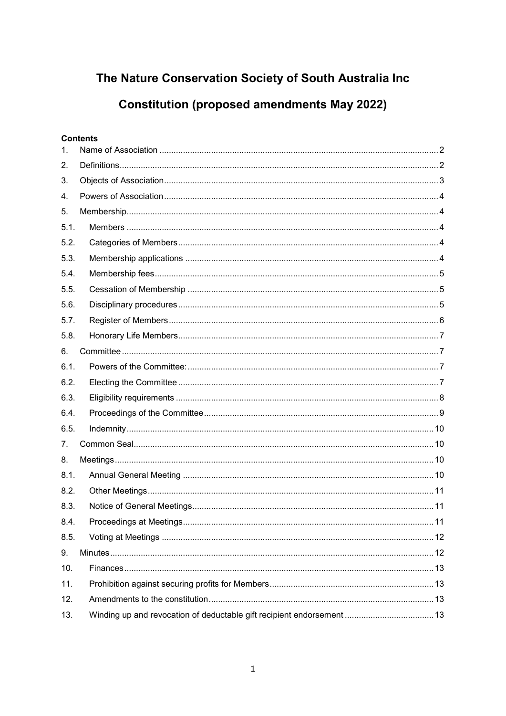## The Nature Conservation Society of South Australia Inc

# **Constitution (proposed amendments May 2022)**

## **Contents**

| 1.   |  |
|------|--|
| 2.   |  |
| 3.   |  |
| 4.   |  |
| 5.   |  |
| 5.1. |  |
| 5.2. |  |
| 5.3. |  |
| 5.4. |  |
| 5.5. |  |
| 5.6. |  |
| 5.7. |  |
| 5.8. |  |
| 6.   |  |
| 6.1. |  |
| 6.2. |  |
| 6.3. |  |
| 6.4. |  |
| 6.5. |  |
| 7.   |  |
| 8.   |  |
| 8.1. |  |
| 8.2. |  |
| 8.3. |  |
| 8.4. |  |
| 8.5. |  |
| 9.   |  |
| 10.  |  |
| 11.  |  |
| 12.  |  |
| 13.  |  |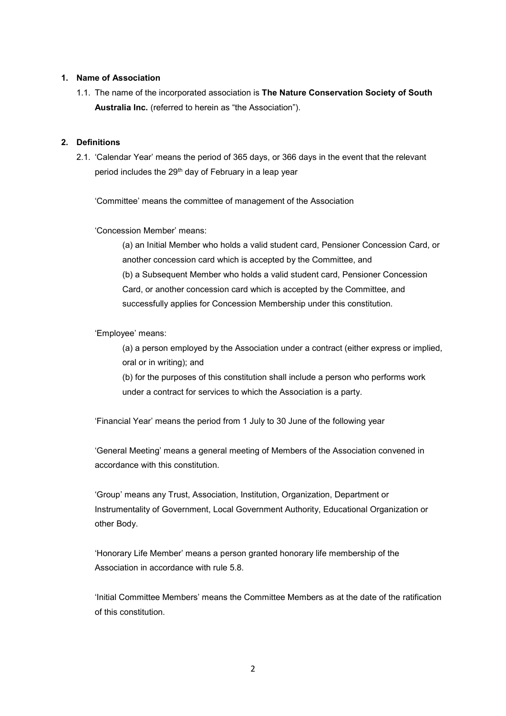#### <span id="page-1-0"></span>**1. Name of Association**

1.1. The name of the incorporated association is **The Nature Conservation Society of South Australia Inc.** (referred to herein as "the Association").

#### <span id="page-1-1"></span>**2. Definitions**

2.1. 'Calendar Year' means the period of 365 days, or 366 days in the event that the relevant period includes the 29<sup>th</sup> day of February in a leap year

'Committee' means the committee of management of the Association

#### 'Concession Member' means:

(a) an Initial Member who holds a valid student card, Pensioner Concession Card, or another concession card which is accepted by the Committee, and (b) a Subsequent Member who holds a valid student card, Pensioner Concession Card, or another concession card which is accepted by the Committee, and successfully applies for Concession Membership under this constitution.

#### 'Employee' means:

(a) a person employed by the Association under a contract (either express or implied, oral or in writing); and

(b) for the purposes of this constitution shall include a person who performs work under a contract for services to which the Association is a party.

'Financial Year' means the period from 1 July to 30 June of the following year

'General Meeting' means a general meeting of Members of the Association convened in accordance with this constitution.

'Group' means any Trust, Association, Institution, Organization, Department or Instrumentality of Government, Local Government Authority, Educational Organization or other Body.

'Honorary Life Member' means a person granted honorary life membership of the Association in accordance with rule 5.8.

'Initial Committee Members' means the Committee Members as at the date of the ratification of this constitution.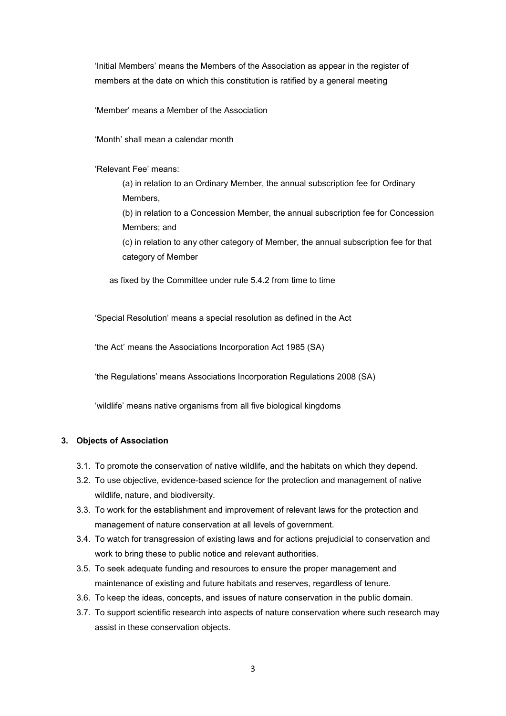'Initial Members' means the Members of the Association as appear in the register of members at the date on which this constitution is ratified by a general meeting

'Member' means a Member of the Association

'Month' shall mean a calendar month

'Relevant Fee' means:

(a) in relation to an Ordinary Member, the annual subscription fee for Ordinary Members,

(b) in relation to a Concession Member, the annual subscription fee for Concession Members; and

(c) in relation to any other category of Member, the annual subscription fee for that category of Member

as fixed by the Committee under rule 5.4.2 from time to time

'Special Resolution' means a special resolution as defined in the Act

'the Act' means the Associations Incorporation Act 1985 (SA)

'the Regulations' means Associations Incorporation Regulations 2008 (SA)

'wildlife' means native organisms from all five biological kingdoms

#### <span id="page-2-0"></span>**3. Objects of Association**

- 3.1. To promote the conservation of native wildlife, and the habitats on which they depend.
- 3.2. To use objective, evidence-based science for the protection and management of native wildlife, nature, and biodiversity.
- 3.3. To work for the establishment and improvement of relevant laws for the protection and management of nature conservation at all levels of government.
- 3.4. To watch for transgression of existing laws and for actions prejudicial to conservation and work to bring these to public notice and relevant authorities.
- 3.5. To seek adequate funding and resources to ensure the proper management and maintenance of existing and future habitats and reserves, regardless of tenure.
- 3.6. To keep the ideas, concepts, and issues of nature conservation in the public domain.
- 3.7. To support scientific research into aspects of nature conservation where such research may assist in these conservation objects.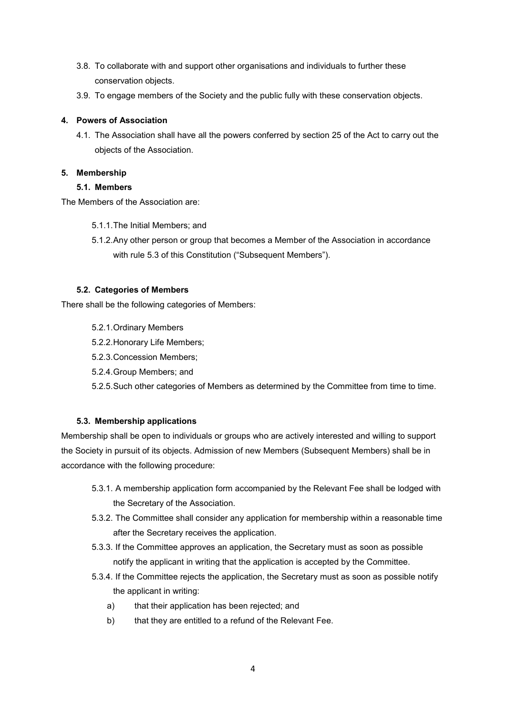- 3.8. To collaborate with and support other organisations and individuals to further these conservation objects.
- 3.9. To engage members of the Society and the public fully with these conservation objects.

#### <span id="page-3-0"></span>**4. Powers of Association**

4.1. The Association shall have all the powers conferred by section 25 of the Act to carry out the objects of the Association.

#### <span id="page-3-2"></span><span id="page-3-1"></span>**5. Membership**

#### **5.1. Members**

The Members of the Association are:

- 5.1.1.The Initial Members; and
- 5.1.2.Any other person or group that becomes a Member of the Association in accordance with rule 5.3 of this Constitution ("Subsequent Members").

#### <span id="page-3-3"></span>**5.2. Categories of Members**

There shall be the following categories of Members:

- 5.2.1.Ordinary Members
- 5.2.2.Honorary Life Members;
- 5.2.3.Concession Members;
- 5.2.4.Group Members; and

5.2.5.Such other categories of Members as determined by the Committee from time to time.

## <span id="page-3-4"></span>**5.3. Membership applications**

Membership shall be open to individuals or groups who are actively interested and willing to support the Society in pursuit of its objects. Admission of new Members (Subsequent Members) shall be in accordance with the following procedure:

- 5.3.1. A membership application form accompanied by the Relevant Fee shall be lodged with the Secretary of the Association.
- 5.3.2. The Committee shall consider any application for membership within a reasonable time after the Secretary receives the application.
- 5.3.3. If the Committee approves an application, the Secretary must as soon as possible notify the applicant in writing that the application is accepted by the Committee.
- 5.3.4. If the Committee rejects the application, the Secretary must as soon as possible notify the applicant in writing:
	- a) that their application has been rejected; and
	- b) that they are entitled to a refund of the Relevant Fee.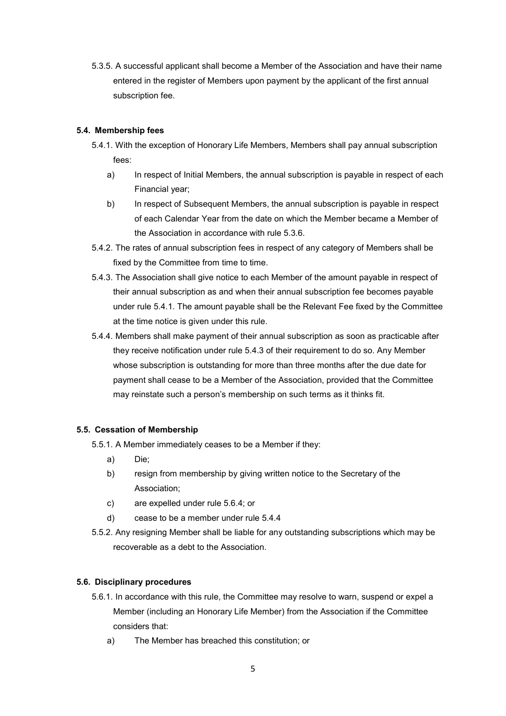5.3.5. A successful applicant shall become a Member of the Association and have their name entered in the register of Members upon payment by the applicant of the first annual subscription fee.

#### <span id="page-4-0"></span>**5.4. Membership fees**

- 5.4.1. With the exception of Honorary Life Members, Members shall pay annual subscription fees:
	- a) In respect of Initial Members, the annual subscription is payable in respect of each Financial year;
	- b) In respect of Subsequent Members, the annual subscription is payable in respect of each Calendar Year from the date on which the Member became a Member of the Association in accordance with rule 5.3.6.
- 5.4.2. The rates of annual subscription fees in respect of any category of Members shall be fixed by the Committee from time to time.
- 5.4.3. The Association shall give notice to each Member of the amount payable in respect of their annual subscription as and when their annual subscription fee becomes payable under rule 5.4.1. The amount payable shall be the Relevant Fee fixed by the Committee at the time notice is given under this rule.
- 5.4.4. Members shall make payment of their annual subscription as soon as practicable after they receive notification under rule 5.4.3 of their requirement to do so. Any Member whose subscription is outstanding for more than three months after the due date for payment shall cease to be a Member of the Association, provided that the Committee may reinstate such a person's membership on such terms as it thinks fit.

## <span id="page-4-1"></span>**5.5. Cessation of Membership**

- 5.5.1. A Member immediately ceases to be a Member if they:
	- a) Die;
	- b) resign from membership by giving written notice to the Secretary of the Association;
	- c) are expelled under rule 5.6.4; or
	- d) cease to be a member under rule 5.4.4
- 5.5.2. Any resigning Member shall be liable for any outstanding subscriptions which may be recoverable as a debt to the Association.

#### <span id="page-4-2"></span>**5.6. Disciplinary procedures**

- 5.6.1. In accordance with this rule, the Committee may resolve to warn, suspend or expel a Member (including an Honorary Life Member) from the Association if the Committee considers that:
	- a) The Member has breached this constitution; or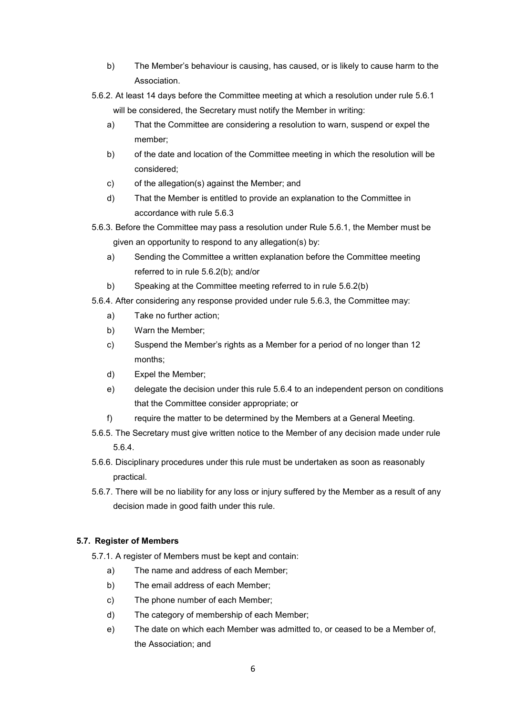- b) The Member's behaviour is causing, has caused, or is likely to cause harm to the Association.
- 5.6.2. At least 14 days before the Committee meeting at which a resolution under rule 5.6.1 will be considered, the Secretary must notify the Member in writing:
	- a) That the Committee are considering a resolution to warn, suspend or expel the member;
	- b) of the date and location of the Committee meeting in which the resolution will be considered;
	- c) of the allegation(s) against the Member; and
	- d) That the Member is entitled to provide an explanation to the Committee in accordance with rule 5.6.3
- 5.6.3. Before the Committee may pass a resolution under Rule 5.6.1, the Member must be given an opportunity to respond to any allegation(s) by:
	- a) Sending the Committee a written explanation before the Committee meeting referred to in rule 5.6.2(b); and/or
	- b) Speaking at the Committee meeting referred to in rule 5.6.2(b)
- 5.6.4. After considering any response provided under rule 5.6.3, the Committee may:
	- a) Take no further action;
	- b) Warn the Member;
	- c) Suspend the Member's rights as a Member for a period of no longer than 12 months;
	- d) Expel the Member;
	- e) delegate the decision under this rule 5.6.4 to an independent person on conditions that the Committee consider appropriate; or
	- f) require the matter to be determined by the Members at a General Meeting.
- 5.6.5. The Secretary must give written notice to the Member of any decision made under rule 5.6.4.
- 5.6.6. Disciplinary procedures under this rule must be undertaken as soon as reasonably practical.
- 5.6.7. There will be no liability for any loss or injury suffered by the Member as a result of any decision made in good faith under this rule.

#### <span id="page-5-0"></span>**5.7. Register of Members**

- 5.7.1. A register of Members must be kept and contain:
	- a) The name and address of each Member;
	- b) The email address of each Member;
	- c) The phone number of each Member;
	- d) The category of membership of each Member;
	- e) The date on which each Member was admitted to, or ceased to be a Member of, the Association; and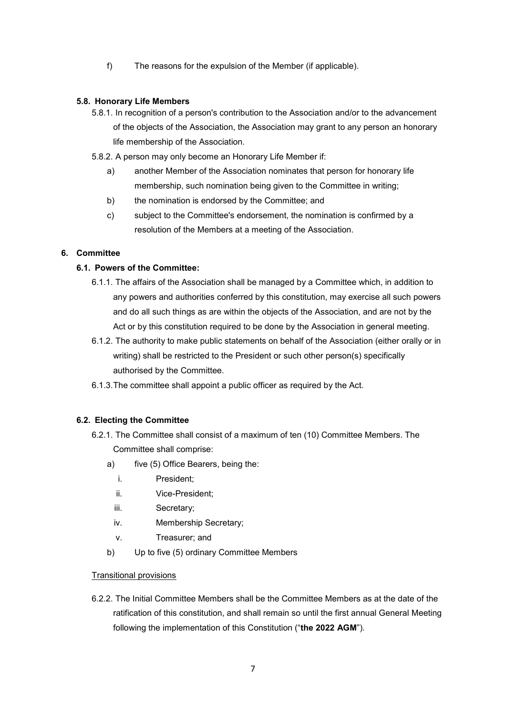f) The reasons for the expulsion of the Member (if applicable).

#### <span id="page-6-0"></span>**5.8. Honorary Life Members**

- 5.8.1. In recognition of a person's contribution to the Association and/or to the advancement of the objects of the Association, the Association may grant to any person an honorary life membership of the Association.
- 5.8.2. A person may only become an Honorary Life Member if:
	- a) another Member of the Association nominates that person for honorary life membership, such nomination being given to the Committee in writing;
	- b) the nomination is endorsed by the Committee; and
	- c) subject to the Committee's endorsement, the nomination is confirmed by a resolution of the Members at a meeting of the Association.

#### <span id="page-6-2"></span><span id="page-6-1"></span>**6. Committee**

#### **6.1. Powers of the Committee:**

- 6.1.1. The affairs of the Association shall be managed by a Committee which, in addition to any powers and authorities conferred by this constitution, may exercise all such powers and do all such things as are within the objects of the Association, and are not by the Act or by this constitution required to be done by the Association in general meeting.
- 6.1.2. The authority to make public statements on behalf of the Association (either orally or in writing) shall be restricted to the President or such other person(s) specifically authorised by the Committee.
- 6.1.3.The committee shall appoint a public officer as required by the Act.

#### <span id="page-6-3"></span>**6.2. Electing the Committee**

- 6.2.1. The Committee shall consist of a maximum of ten (10) Committee Members. The Committee shall comprise:
	- a) five (5) Office Bearers, being the:
		- i. President;
		- ii. Vice-President;
		- iii. Secretary;
		- iv. Membership Secretary;
		- v. Treasurer; and
	- b) Up to five (5) ordinary Committee Members

#### Transitional provisions

6.2.2. The Initial Committee Members shall be the Committee Members as at the date of the ratification of this constitution, and shall remain so until the first annual General Meeting following the implementation of this Constitution ("**the 2022 AGM**").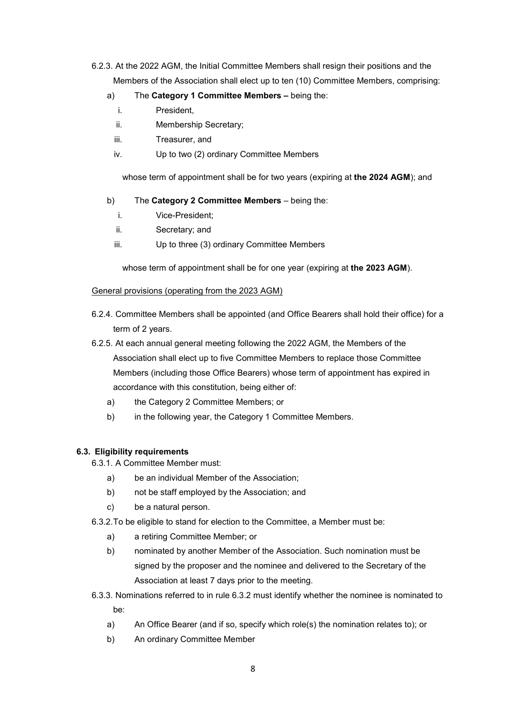- 6.2.3. At the 2022 AGM, the Initial Committee Members shall resign their positions and the Members of the Association shall elect up to ten (10) Committee Members, comprising:
	- a) The **Category 1 Committee Members** being the:
		- i. President,
		- ii. Membership Secretary;
		- iii. Treasurer, and
		- iv. Up to two (2) ordinary Committee Members

whose term of appointment shall be for two years (expiring at **the 2024 AGM**); and

- b) The **Category 2 Committee Members**  being the:
	- i. Vice-President;
	- ii. Secretary; and
	- iii. Up to three (3) ordinary Committee Members

whose term of appointment shall be for one year (expiring at **the 2023 AGM**).

#### General provisions (operating from the 2023 AGM)

- 6.2.4. Committee Members shall be appointed (and Office Bearers shall hold their office) for a term of 2 years.
- 6.2.5. At each annual general meeting following the 2022 AGM, the Members of the Association shall elect up to five Committee Members to replace those Committee Members (including those Office Bearers) whose term of appointment has expired in accordance with this constitution, being either of:
	- a) the Category 2 Committee Members; or
	- b) in the following year, the Category 1 Committee Members.

#### <span id="page-7-0"></span>**6.3. Eligibility requirements**

6.3.1. A Committee Member must:

- a) be an individual Member of the Association;
- b) not be staff employed by the Association; and
- c) be a natural person.
- 6.3.2.To be eligible to stand for election to the Committee, a Member must be:
	- a) a retiring Committee Member; or
	- b) nominated by another Member of the Association. Such nomination must be signed by the proposer and the nominee and delivered to the Secretary of the Association at least 7 days prior to the meeting.
- 6.3.3. Nominations referred to in rule 6.3.2 must identify whether the nominee is nominated to be:
	- a) An Office Bearer (and if so, specify which role(s) the nomination relates to); or
	- b) An ordinary Committee Member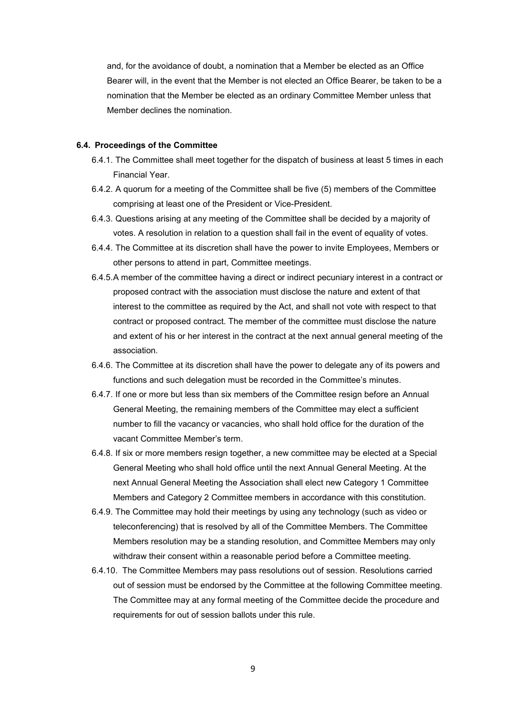and, for the avoidance of doubt, a nomination that a Member be elected as an Office Bearer will, in the event that the Member is not elected an Office Bearer, be taken to be a nomination that the Member be elected as an ordinary Committee Member unless that Member declines the nomination.

#### <span id="page-8-0"></span>**6.4. Proceedings of the Committee**

- 6.4.1. The Committee shall meet together for the dispatch of business at least 5 times in each Financial Year.
- 6.4.2. A quorum for a meeting of the Committee shall be five (5) members of the Committee comprising at least one of the President or Vice-President.
- 6.4.3. Questions arising at any meeting of the Committee shall be decided by a majority of votes. A resolution in relation to a question shall fail in the event of equality of votes.
- 6.4.4. The Committee at its discretion shall have the power to invite Employees, Members or other persons to attend in part, Committee meetings.
- 6.4.5.A member of the committee having a direct or indirect pecuniary interest in a contract or proposed contract with the association must disclose the nature and extent of that interest to the committee as required by the Act, and shall not vote with respect to that contract or proposed contract. The member of the committee must disclose the nature and extent of his or her interest in the contract at the next annual general meeting of the association.
- 6.4.6. The Committee at its discretion shall have the power to delegate any of its powers and functions and such delegation must be recorded in the Committee's minutes.
- 6.4.7. If one or more but less than six members of the Committee resign before an Annual General Meeting, the remaining members of the Committee may elect a sufficient number to fill the vacancy or vacancies, who shall hold office for the duration of the vacant Committee Member's term.
- 6.4.8. If six or more members resign together, a new committee may be elected at a Special General Meeting who shall hold office until the next Annual General Meeting. At the next Annual General Meeting the Association shall elect new Category 1 Committee Members and Category 2 Committee members in accordance with this constitution.
- 6.4.9. The Committee may hold their meetings by using any technology (such as video or teleconferencing) that is resolved by all of the Committee Members. The Committee Members resolution may be a standing resolution, and Committee Members may only withdraw their consent within a reasonable period before a Committee meeting.
- 6.4.10. The Committee Members may pass resolutions out of session. Resolutions carried out of session must be endorsed by the Committee at the following Committee meeting. The Committee may at any formal meeting of the Committee decide the procedure and requirements for out of session ballots under this rule.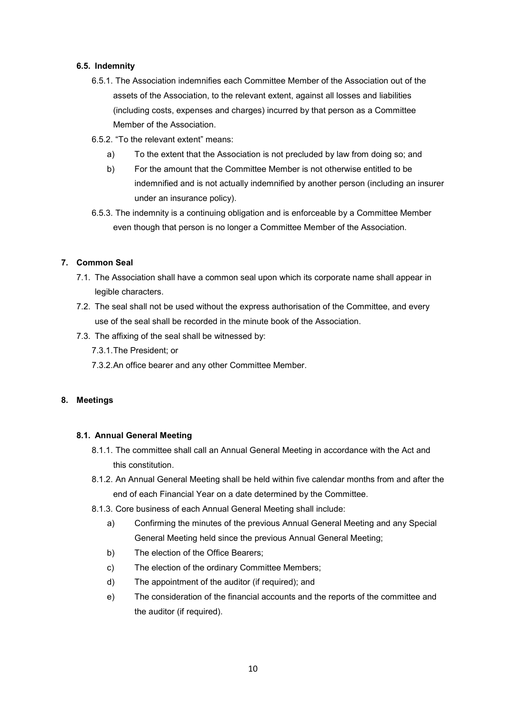#### <span id="page-9-0"></span>**6.5. Indemnity**

- 6.5.1. The Association indemnifies each Committee Member of the Association out of the assets of the Association, to the relevant extent, against all losses and liabilities (including costs, expenses and charges) incurred by that person as a Committee Member of the Association.
- 6.5.2. "To the relevant extent" means:
	- a) To the extent that the Association is not precluded by law from doing so; and
	- b) For the amount that the Committee Member is not otherwise entitled to be indemnified and is not actually indemnified by another person (including an insurer under an insurance policy).
- 6.5.3. The indemnity is a continuing obligation and is enforceable by a Committee Member even though that person is no longer a Committee Member of the Association.

#### <span id="page-9-1"></span>**7. Common Seal**

- 7.1. The Association shall have a common seal upon which its corporate name shall appear in legible characters.
- 7.2. The seal shall not be used without the express authorisation of the Committee, and every use of the seal shall be recorded in the minute book of the Association.
- 7.3. The affixing of the seal shall be witnessed by:
	- 7.3.1.The President; or
	- 7.3.2.An office bearer and any other Committee Member.

#### <span id="page-9-3"></span><span id="page-9-2"></span>**8. Meetings**

#### **8.1. Annual General Meeting**

- 8.1.1. The committee shall call an Annual General Meeting in accordance with the Act and this constitution.
- 8.1.2. An Annual General Meeting shall be held within five calendar months from and after the end of each Financial Year on a date determined by the Committee.
- 8.1.3. Core business of each Annual General Meeting shall include:
	- a) Confirming the minutes of the previous Annual General Meeting and any Special General Meeting held since the previous Annual General Meeting;
	- b) The election of the Office Bearers;
	- c) The election of the ordinary Committee Members;
	- d) The appointment of the auditor (if required); and
	- e) The consideration of the financial accounts and the reports of the committee and the auditor (if required).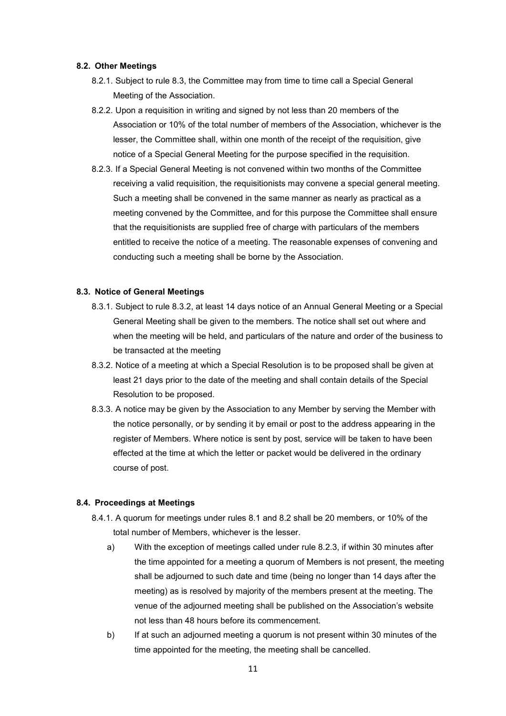#### <span id="page-10-0"></span>**8.2. Other Meetings**

- 8.2.1. Subject to rule 8.3, the Committee may from time to time call a Special General Meeting of the Association.
- 8.2.2. Upon a requisition in writing and signed by not less than 20 members of the Association or 10% of the total number of members of the Association, whichever is the lesser, the Committee shall, within one month of the receipt of the requisition, give notice of a Special General Meeting for the purpose specified in the requisition.
- 8.2.3. If a Special General Meeting is not convened within two months of the Committee receiving a valid requisition, the requisitionists may convene a special general meeting. Such a meeting shall be convened in the same manner as nearly as practical as a meeting convened by the Committee, and for this purpose the Committee shall ensure that the requisitionists are supplied free of charge with particulars of the members entitled to receive the notice of a meeting. The reasonable expenses of convening and conducting such a meeting shall be borne by the Association.

#### <span id="page-10-1"></span>**8.3. Notice of General Meetings**

- 8.3.1. Subject to rule 8.3.2, at least 14 days notice of an Annual General Meeting or a Special General Meeting shall be given to the members. The notice shall set out where and when the meeting will be held, and particulars of the nature and order of the business to be transacted at the meeting
- 8.3.2. Notice of a meeting at which a Special Resolution is to be proposed shall be given at least 21 days prior to the date of the meeting and shall contain details of the Special Resolution to be proposed.
- 8.3.3. A notice may be given by the Association to any Member by serving the Member with the notice personally, or by sending it by email or post to the address appearing in the register of Members. Where notice is sent by post, service will be taken to have been effected at the time at which the letter or packet would be delivered in the ordinary course of post.

#### <span id="page-10-2"></span>**8.4. Proceedings at Meetings**

- 8.4.1. A quorum for meetings under rules 8.1 and 8.2 shall be 20 members, or 10% of the total number of Members, whichever is the lesser.
	- a) With the exception of meetings called under rule 8.2.3, if within 30 minutes after the time appointed for a meeting a quorum of Members is not present, the meeting shall be adjourned to such date and time (being no longer than 14 days after the meeting) as is resolved by majority of the members present at the meeting. The venue of the adjourned meeting shall be published on the Association's website not less than 48 hours before its commencement.
	- b) If at such an adjourned meeting a quorum is not present within 30 minutes of the time appointed for the meeting, the meeting shall be cancelled.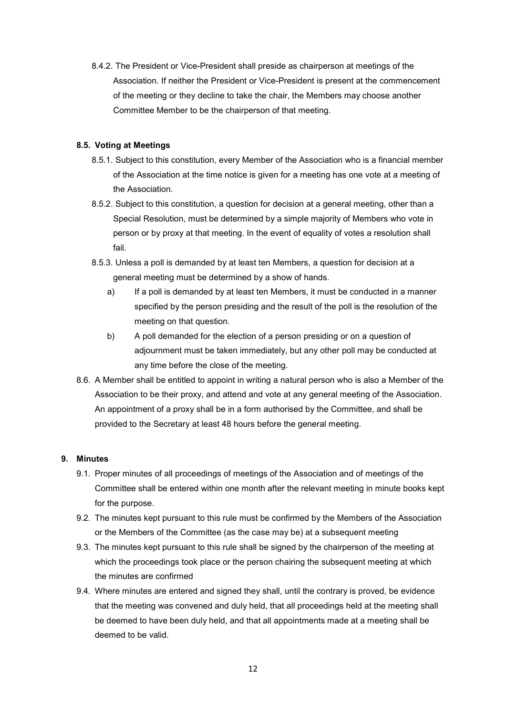8.4.2. The President or Vice-President shall preside as chairperson at meetings of the Association. If neither the President or Vice-President is present at the commencement of the meeting or they decline to take the chair, the Members may choose another Committee Member to be the chairperson of that meeting.

#### <span id="page-11-0"></span>**8.5. Voting at Meetings**

- 8.5.1. Subject to this constitution, every Member of the Association who is a financial member of the Association at the time notice is given for a meeting has one vote at a meeting of the Association.
- 8.5.2. Subject to this constitution, a question for decision at a general meeting, other than a Special Resolution, must be determined by a simple majority of Members who vote in person or by proxy at that meeting. In the event of equality of votes a resolution shall fail.
- 8.5.3. Unless a poll is demanded by at least ten Members, a question for decision at a general meeting must be determined by a show of hands.
	- a) If a poll is demanded by at least ten Members, it must be conducted in a manner specified by the person presiding and the result of the poll is the resolution of the meeting on that question.
	- b) A poll demanded for the election of a person presiding or on a question of adjournment must be taken immediately, but any other poll may be conducted at any time before the close of the meeting.
- 8.6. A Member shall be entitled to appoint in writing a natural person who is also a Member of the Association to be their proxy, and attend and vote at any general meeting of the Association. An appointment of a proxy shall be in a form authorised by the Committee, and shall be provided to the Secretary at least 48 hours before the general meeting.

#### <span id="page-11-1"></span>**9. Minutes**

- 9.1. Proper minutes of all proceedings of meetings of the Association and of meetings of the Committee shall be entered within one month after the relevant meeting in minute books kept for the purpose.
- 9.2. The minutes kept pursuant to this rule must be confirmed by the Members of the Association or the Members of the Committee (as the case may be) at a subsequent meeting
- 9.3. The minutes kept pursuant to this rule shall be signed by the chairperson of the meeting at which the proceedings took place or the person chairing the subsequent meeting at which the minutes are confirmed
- 9.4. Where minutes are entered and signed they shall, until the contrary is proved, be evidence that the meeting was convened and duly held, that all proceedings held at the meeting shall be deemed to have been duly held, and that all appointments made at a meeting shall be deemed to be valid.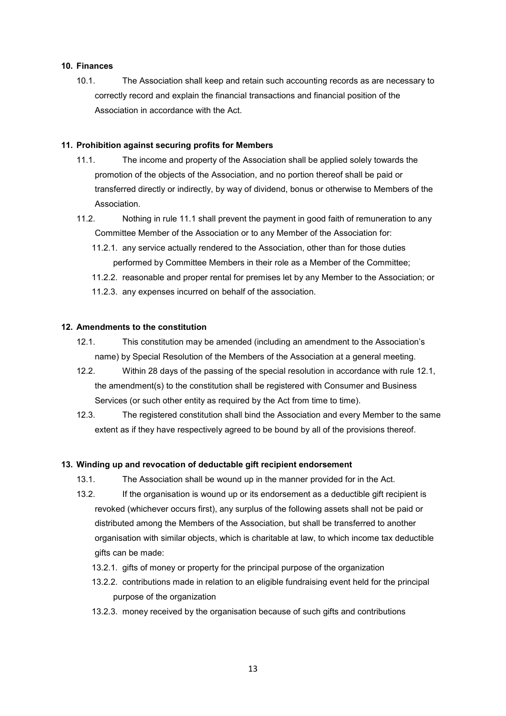#### <span id="page-12-0"></span>**10. Finances**

10.1. The Association shall keep and retain such accounting records as are necessary to correctly record and explain the financial transactions and financial position of the Association in accordance with the Act.

#### <span id="page-12-1"></span>**11. Prohibition against securing profits for Members**

- 11.1. The income and property of the Association shall be applied solely towards the promotion of the objects of the Association, and no portion thereof shall be paid or transferred directly or indirectly, by way of dividend, bonus or otherwise to Members of the Association.
- 11.2. Nothing in rule 11.1 shall prevent the payment in good faith of remuneration to any Committee Member of the Association or to any Member of the Association for:
	- 11.2.1. any service actually rendered to the Association, other than for those duties performed by Committee Members in their role as a Member of the Committee;
	- 11.2.2. reasonable and proper rental for premises let by any Member to the Association; or
	- 11.2.3. any expenses incurred on behalf of the association.

#### <span id="page-12-2"></span>**12. Amendments to the constitution**

- 12.1. This constitution may be amended (including an amendment to the Association's name) by Special Resolution of the Members of the Association at a general meeting.
- 12.2. Within 28 days of the passing of the special resolution in accordance with rule 12.1, the amendment(s) to the constitution shall be registered with Consumer and Business Services (or such other entity as required by the Act from time to time).
- 12.3. The registered constitution shall bind the Association and every Member to the same extent as if they have respectively agreed to be bound by all of the provisions thereof.

#### <span id="page-12-3"></span>**13. Winding up and revocation of deductable gift recipient endorsement**

- 13.1. The Association shall be wound up in the manner provided for in the Act.
- 13.2. If the organisation is wound up or its endorsement as a deductible gift recipient is revoked (whichever occurs first), any surplus of the following assets shall not be paid or distributed among the Members of the Association, but shall be transferred to another organisation with similar objects, which is charitable at law, to which income tax deductible gifts can be made:
	- 13.2.1. gifts of money or property for the principal purpose of the organization
	- 13.2.2. contributions made in relation to an eligible fundraising event held for the principal purpose of the organization
	- 13.2.3. money received by the organisation because of such gifts and contributions